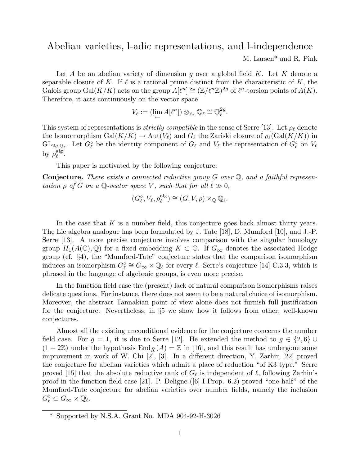## Abelian varieties, l-adic representations, and l-independence

M. Larsen\* and R. Pink

Let A be an abelian variety of dimension g over a global field K. Let  $\bar{K}$  denote a separable closure of K. If  $\ell$  is a rational prime distinct from the characteristic of K, the Galois group Gal $(\bar K/K)$  acts on the group  $A[\ell^n] \cong (\mathbb{Z}/\ell^n\mathbb{Z})^{2g}$  of  $\ell^n$ -torsion points of  $A(\bar K)$ . Therefore, it acts continuously on the vector space

$$
V_{\ell} := (\lim_{\leftarrow} A[\ell^n]) \otimes_{\mathbb{Z}_{\ell}} \mathbb{Q}_{\ell} \cong \mathbb{Q}_{\ell}^{2g}.
$$

This system of representations is *strictly compatible* in the sense of Serre [13]. Let  $\rho_{\ell}$  denote the homomorphism  $Gal(K/K) \to Aut(V_{\ell})$  and  $G_{\ell}$  the Zariski closure of  $\rho_{\ell}(Gal(K/K))$  in  $GL_{2g,\mathbb{Q}_\ell}$ . Let  $G_\ell^\circ$  be the identity component of  $G_\ell$  and  $V_\ell$  the representation of  $G_\ell^\circ$  on  $V_\ell$ by  $\rho_{\ell}^{\mathrm{alg}}$  $_{\ell}^{\operatorname*{alg}}.$ 

This paper is motivated by the following conjecture:

**Conjecture.** There exists a connected reductive group  $G$  over  $\mathbb{Q}$ , and a faithful representation  $\rho$  of G on a Q-vector space V, such that for all  $\ell \gg 0$ ,

$$
(G_\ell^\circ, V_\ell, \rho_\ell^{\text{alg}}) \cong (G, V, \rho) \times_{\mathbb{Q}} \mathbb{Q}_\ell.
$$

In the case that  $K$  is a number field, this conjecture goes back almost thirty years. The Lie algebra analogue has been formulated by J. Tate [18], D. Mumford [10], and J.-P. Serre [13]. A more precise conjecture involves comparison with the singular homology group  $H_1(A(\mathbb{C}), \mathbb{Q})$  for a fixed embedding  $K \subset \mathbb{C}$ . If  $G_{\infty}$  denotes the associated Hodge group (cf. §4), the "Mumford-Tate" conjecture states that the comparison isomorphism induces an isomorphism  $G_{\ell}^{\circ} \cong G_{\infty} \times \mathbb{Q}_{\ell}$  for every  $\ell$ . Serre's conjecture [14] C.3.3, which is phrased in the language of algebraic groups, is even more precise.

In the function field case the (present) lack of natural comparison isomorphisms raises delicate questions. For instance, there does not seem to be a natural choice of isomorphism. Moreover, the abstract Tannakian point of view alone does not furnish full justification for the conjecture. Nevertheless, in §5 we show how it follows from other, well-known conjectures.

Almost all the existing unconditional evidence for the conjecture concerns the number field case. For  $g = 1$ , it is due to Serre [12]. He extended the method to  $g \in \{2, 6\} \cup$  $(1 + 2\mathbb{Z})$  under the hypothesis  $\text{End}_{\bar{K}}(A) = \mathbb{Z}$  in [16], and this result has undergone some improvement in work of W. Chi [2], [3]. In a different direction, Y. Zarhin [22] proved the conjecture for abelian varieties which admit a place of reduction "of K3 type." Serre proved [15] that the absolute reductive rank of  $G_\ell$  is independent of  $\ell$ , following Zarhin's proof in the function field case [21]. P. Deligne  $([6]$  I Prop. 6.2) proved "one half" of the Mumford-Tate conjecture for abelian varieties over number fields, namely the inclusion  $G_{\ell}^{\circ} \subset G_{\infty} \times \mathbb{Q}_{\ell}.$ 

<sup>\*</sup> Supported by N.S.A. Grant No. MDA 904-92-H-3026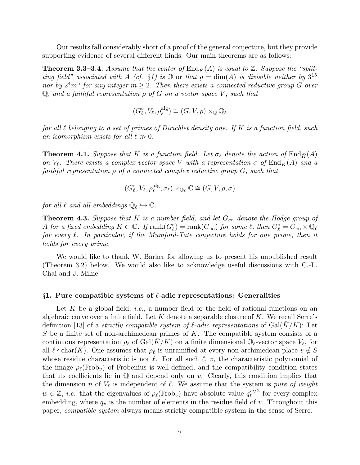Our results fall considerably short of a proof of the general conjecture, but they provide supporting evidence of several different kinds. Our main theorems are as follows:

**Theorem 3.3–3.4.** Assume that the center of  $\text{End}_{\bar{K}}(A)$  is equal to  $\mathbb{Z}$ . Suppose the "splitting field" associated with A (cf. §1) is Q or that  $g = \dim(A)$  is divisible neither by  $3^{15}$ nor by  $2^4m^5$  for any integer  $m \geq 2$ . Then there exists a connected reductive group G over  $\mathbb Q$ , and a faithful representation  $\rho$  of G on a vector space V, such that

$$
(G_{\ell}^{\circ}, V_{\ell}, \rho_{\ell}^{\text{alg}}) \cong (G, V, \rho) \times_{\mathbb{Q}} \mathbb{Q}_{\ell}
$$

for all  $\ell$  belonging to a set of primes of Dirichlet density one. If K is a function field, such an isomorphism exists for all  $\ell \gg 0$ .

**Theorem 4.1.** Suppose that K is a function field. Let  $\sigma_{\ell}$  denote the action of End<sub> $\bar{K}(A)$ </sub> on  $V_{\ell}$ . There exists a complex vector space V with a representation  $\sigma$  of End<sub> $\bar{K}(A)$ </sub> and a faithful representation  $\rho$  of a connected complex reductive group  $G$ , such that

$$
(G_\ell^{\circ}, V_\ell, \rho_\ell^{\mathrm{alg}}, \sigma_\ell) \times_{\mathbb{Q}_\ell} \mathbb{C} \cong (G, V, \rho, \sigma)
$$

for all  $\ell$  and all embeddings  $\mathbb{Q}_{\ell} \hookrightarrow \mathbb{C}$ .

**Theorem 4.3.** Suppose that K is a number field, and let  $G_{\infty}$  denote the Hodge group of A for a fixed embedding  $K\subset\mathbb{C}$ . If  $\mathrm{rank}(G_{\ell}^\circ)=\mathrm{rank}(G_\infty)$  for some  $\ell,$  then  $G_{\ell}^\circ=G_\infty\times\mathbb{Q}_\ell$ for every  $\ell$ . In particular, if the Mumford-Tate conjecture holds for one prime, then it holds for every prime.

We would like to thank W. Barker for allowing us to present his unpublished result (Theorem 3.2) below. We would also like to acknowledge useful discussions with C.-L. Chai and J. Milne.

### $§1.$  Pure compatible systems of  $\ell$ -adic representations: Generalities

Let K be a global field, *i.e.*, a number field or the field of rational functions on an algebraic curve over a finite field. Let  $K$  denote a separable closure of  $K$ . We recall Serre's definition [13] of a *strictly compatible system of*  $\ell$ *-adic representations* of Gal(K/K): Let S be a finite set of non-archimedean primes of K. The compatible system consists of a continuous representation  $\rho_\ell$  of Gal( $\bar{K}/K$ ) on a finite dimensional Q<sub> $\ell$ </sub>-vector space  $V_\ell$ , for all  $\ell \nmid char(K)$ . One assumes that  $\rho_{\ell}$  is unramified at every non-archimedean place  $v \notin S$ whose residue characteristic is not  $\ell$ . For all such  $\ell$ , v, the characteristic polynomial of the image  $\rho_{\ell}(\text{Frob}_{v})$  of Frobenius is well-defined, and the compatibility condition states that its coefficients lie in  $\mathbb Q$  and depend only on  $v$ . Clearly, this condition implies that the dimension n of  $V_\ell$  is independent of  $\ell$ . We assume that the system is pure of weight  $w \in \mathbb{Z}$ , *i.e.* that the eigenvalues of  $\rho_{\ell}(\text{Frob}_{v})$  have absolute value  $q_{v}^{w/2}$  for every complex embedding, where  $q_v$  is the number of elements in the residue field of v. Throughout this paper, compatible system always means strictly compatible system in the sense of Serre.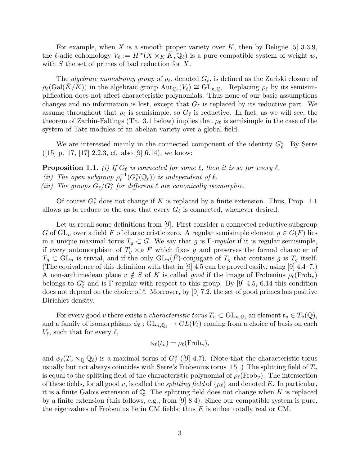For example, when X is a smooth proper variety over K, then by Deligne [5] 3.3.9, the l-adic cohomology  $V_{\ell} := H^w(X \times_K \overline{K}, \mathbb{Q}_{\ell})$  is a pure compatible system of weight w, with  $S$  the set of primes of bad reduction for  $X$ .

The *algebraic monodromy group* of  $\rho_{\ell}$ , denoted  $G_{\ell}$ , is defined as the Zariski closure of  $\rho_\ell(\text{Gal}(\bar{K}/\tilde{K}))$  in the algebraic group  $\text{Aut}_{\mathbb{Q}_\ell}(V_\ell) \cong \text{GL}_{n,\mathbb{Q}_\ell}$ . Replacing  $\rho_\ell$  by its semisimplification does not affect characteristic polynomials. Thus none of our basic assumptions changes and no information is lost, except that  $G_\ell$  is replaced by its reductive part. We assume throughout that  $\rho_\ell$  is semisimple, so  $G_\ell$  is reductive. In fact, as we will see, the theorem of Zarhin-Faltings (Th. 3.1 below) implies that  $\rho_{\ell}$  is semisimple in the case of the system of Tate modules of an abelian variety over a global field.

We are interested mainly in the connected component of the identity  $G_{\ell}^{\circ}$ . By Serre  $([15]$  p. 17, [17] 2.2.3, cf. also [9] 6.14), we know:

**Proposition 1.1.** (i) If  $G_\ell$  is connected for some  $\ell$ , then it is so for every  $\ell$ . (*ii*) The open subgroup  $\rho_{\ell}^{-1}$  $\iota_{\ell}^{-1}(G_{\ell}^{\circ}(\mathbb{Q}_{\ell}))$  is independent of  $\ell$ . (iii) The groups  $G_{\ell}/G_{\ell}^{\circ}$  for different  $\ell$  are canonically isomorphic.

Of course  $G_{\ell}^{\circ}$  does not change if K is replaced by a finite extension. Thus, Prop. 1.1 allows us to reduce to the case that every  $G_{\ell}$  is connected, whenever desired.

Let us recall some definitions from [9]. First consider a connected reductive subgroup G of  $GL_n$  over a field F of characteristic zero. A regular semisimple element  $g \in G(F)$  lies in a unique maximal torus  $T_g \subset G$ . We say that g is Γ-regular if it is regular semisimple, if every automorphism of  $T_g \times_F \overline{F}$  which fixes g and preserves the formal character of  $T_g \subset GL_n$  is trivial, and if the only  $GL_n(\overline{F})$ -conjugate of  $T_g$  that contains g is  $T_g$  itself. (The equivalence of this definition with that in [9] 4.5 can be proved easily, using [9] 4.4–7.) A non-archimedean place  $v \notin S$  of K is called good if the image of Frobenius  $\rho_\ell(\text{Frob}_v)$ belongs to  $G_{\ell}^{\circ}$  and is  $\Gamma$ -regular with respect to this group. By [9] 4.5, 6.14 this condition does not depend on the choice of  $\ell$ . Moreover, by [9] 7.2, the set of good primes has positive Dirichlet density.

For every good v there exists a *characteristic torus*  $T_v \subset GL_{n,\mathbb{Q}}$ , an element  $t_v \in T_v(\mathbb{Q})$ , and a family of isomorphisms  $\phi_\ell : GL_{n,\mathbb{Q}_\ell} \to GL(V_\ell)$  coming from a choice of basis on each  $V_{\ell}$ , such that for every  $\ell$ ,

$$
\phi_{\ell}(t_v) = \rho_{\ell}(\text{Frob}_v),
$$

and  $\phi_{\ell}(T_v \times_{\mathbb{Q}} \mathbb{Q}_{\ell})$  is a maximal torus of  $G_{\ell}^{\circ}$  ([9] 4.7). (Note that the characteristic torus usually but not always coincides with Serre's Frobenius torus [15].) The splitting field of  $T_v$ is equal to the splitting field of the characteristic polynomial of  $\rho_{\ell}(\text{Frob}_{v})$ . The intersection of these fields, for all good v, is called the *splitting field* of  $\{\rho_\ell\}$  and denoted E. In particular, it is a finite Galois extension of  $\mathbb{Q}$ . The splitting field does not change when K is replaced by a finite extension (this follows, e.g., from [9] 8.4). Since our compatible system is pure, the eigenvalues of Frobenius lie in CM fields; thus E is either totally real or CM.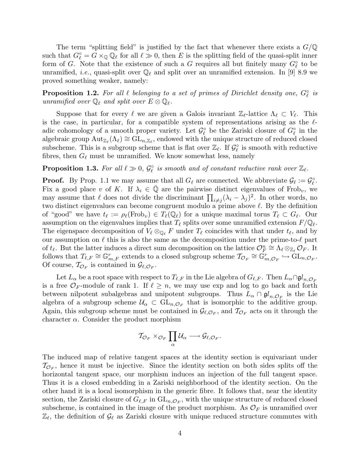The term "splitting field" is justified by the fact that whenever there exists a  $G/\mathbb{Q}$ such that  $G_{\ell}^{\circ} = G \times_{\mathbb{Q}} \mathbb{Q}_{\ell}$  for all  $\ell \gg 0$ , then E is the splitting field of the quasi-split inner form of G. Note that the existence of such a G requires all but finitely many  $G_{\ell}^{\circ}$  to be unramified, *i.e.*, quasi-split over  $\mathbb{Q}_\ell$  and split over an unramified extension. In [9] 8.9 we proved something weaker, namely:

**Proposition 1.2.** For all  $\ell$  belonging to a set of primes of Dirichlet density one,  $G_{\ell}^{\circ}$  is unramified over  $\mathbb{Q}_\ell$  and split over  $E \otimes \mathbb{Q}_\ell$ .

Suppose that for every  $\ell$  we are given a Galois invariant  $\mathbb{Z}_{\ell}$ -lattice  $\Lambda_{\ell} \subset V_{\ell}$ . This is the case, in particular, for a compatible system of representations arising as the  $\ell$ adic cohomology of a smooth proper variety. Let  $\mathcal{G}_{\ell}^{\circ}$  be the Zariski closure of  $G_{\ell}^{\circ}$  in the algebraic group  ${\rm Aut}_{\mathbb{Z}_\ell}(\Lambda_\ell) \cong \widetilde{{\rm GL}}_{n,\mathbb{Z}_\ell}$ , endowed with the unique structure of reduced closed subscheme. This is a subgroup scheme that is flat over  $\mathbb{Z}_{\ell}$ . If  $\mathcal{G}_{\ell}^{\circ}$  is smooth with reductive fibres, then  $G_{\ell}$  must be unramified. We know somewhat less, namely

**Proposition 1.3.** For all  $\ell \gg 0$ ,  $\mathcal{G}_{\ell}^{\circ}$  is smooth and of constant reductive rank over  $\mathbb{Z}_{\ell}$ .

**Proof.** By Prop. 1.1 we may assume that all  $G_\ell$  are connected. We abbreviate  $\mathcal{G}_\ell := \mathcal{G}_\ell^\circ$ . Fix a good place v of K. If  $\lambda_i \in \mathbb{Q}$  are the pairwise distinct eigenvalues of Frob<sub>v</sub>, we may assume that  $\ell$  does not divide the discriminant  $\prod_{i \neq j} (\lambda_i - \lambda_j)^2$ . In other words, no two distinct eigenvalues can become congruent modulo a prime above  $\ell$ . By the definition of "good" we have  $t_\ell := \rho_\ell(\text{Frob}_v) \in T_\ell(\mathbb{Q}_\ell)$  for a unique maximal torus  $T_\ell \subset G_\ell$ . Our assumption on the eigenvalues implies that  $T_\ell$  splits over some unramified extension  $F/\mathbb{Q}_\ell$ . The eigenspace decomposition of  $V_\ell \otimes_{\mathbb{Q}_\ell} F$  under  $T_\ell$  coincides with that under  $t_\ell$ , and by our assumption on  $\ell$  this is also the same as the decomposition under the prime-to- $\ell$  part of  $t_\ell$ . But the latter induces a direct sum decomposition on the lattice  $\mathcal{O}_F^n \cong \Lambda_\ell \otimes_{\mathbb{Z}_\ell} \mathcal{O}_F$ . It follows that  $T_{\ell,F} \cong \mathbb{G}_{m,F}^r$  extends to a closed subgroup scheme  $\mathcal{T}_{\mathcal{O}_F} \cong \mathbb{G}_{m,\mathcal{O}_F}^r \hookrightarrow \text{GL}_{n,\mathcal{O}_F}$ . Of course,  $\mathcal{T}_{\mathcal{O}_F}$  is contained in  $\mathcal{G}_{\ell,\mathcal{O}_F}$ .

Let  $L_\alpha$  be a root space with respect to  $T_{\ell,F}$  in the Lie algebra of  $G_{\ell,F}$ . Then  $L_\alpha\cap\mathfrak{gl}_{n,\mathcal{O}_F}$ is a free  $\mathcal{O}_F$ -module of rank 1. If  $\ell \geq n$ , we may use exp and log to go back and forth between nilpotent subalgebras and unipotent subgroups. Thus  $L_{\alpha} \cap \mathfrak{gl}_{n,\mathcal{O}_F}$  is the Lie algebra of a subgroup scheme  $\mathcal{U}_{\alpha} \subset GL_{n,\mathcal{O}_{F}}$  that is isomorphic to the additive group. Again, this subgroup scheme must be contained in  $\mathcal{G}_{\ell,\mathcal{O}_F}$ , and  $\mathcal{I}_{\mathcal{O}_F}$  acts on it through the character  $\alpha$ . Consider the product morphism

$$
\mathcal{T}_{\mathcal{O}_F}\times_{\mathcal{O}_F}\prod_{\alpha}\mathcal{U}_{\alpha}\longrightarrow \mathcal{G}_{\ell,\mathcal{O}_F}.
$$

The induced map of relative tangent spaces at the identity section is equivariant under  $\mathcal{T}_{\mathcal{O}_F}$ , hence it must be injective. Since the identity section on both sides splits off the horizontal tangent space, our morphism induces an injection of the full tangent space. Thus it is a closed embedding in a Zariski neighborhood of the identity section. On the other hand it is a local isomorphism in the generic fibre. It follows that, near the identity section, the Zariski closure of  $G_{\ell,F}$  in  $\mathrm{GL}_{n,\mathcal{O}_F},$  with the unique structure of reduced closed subscheme, is contained in the image of the product morphism. As  $\mathcal{O}_F$  is unramified over  $\mathbb{Z}_\ell$ , the definition of  $\mathcal{G}_\ell$  as Zariski closure with unique reduced structure commutes with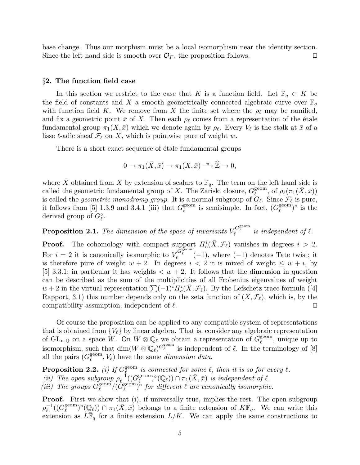base change. Thus our morphism must be a local isomorphism near the identity section. Since the left hand side is smooth over  $\mathcal{O}_F$ , the proposition follows.

#### §2. The function field case

In this section we restrict to the case that K is a function field. Let  $\mathbb{F}_q \subset K$  be the field of constants and X a smooth geometrically connected algebraic curve over  $\mathbb{F}_q$ with function field K. We remove from X the finite set where the  $\rho_{\ell}$  may be ramified, and fix a geometric point  $\bar{x}$  of X. Then each  $\rho_{\ell}$  comes from a representation of the étale fundamental group  $\pi_1(X, \bar{x})$  which we denote again by  $\rho_\ell$ . Every  $V_\ell$  is the stalk at  $\bar{x}$  of a lisse  $\ell$ -adic sheaf  $\mathcal{F}_{\ell}$  on X, which is pointwise pure of weight w.

There is a short exact sequence of étale fundamental groups

$$
0 \to \pi_1(\bar{X}, \bar{x}) \to \pi_1(X, \bar{x}) \xrightarrow{\pi} \widehat{\mathbb{Z}} \to 0,
$$

where  $\bar{X}$  obtained from X by extension of scalars to  $\bar{\mathbb{F}}_q$ . The term on the left hand side is called the geometric fundamental group of X. The Zariski closure,  $G_{\ell}^{\text{geom}}$  $_{\ell}^{\text{geom}},$  of  $\rho_{\ell}(\pi_1(\bar{X},\bar{x}))$ is called the *geometric monodromy group*. It is a normal subgroup of  $G_\ell$ . Since  $\mathcal{F}_\ell$  is pure, it follows from [5] 1.3.9 and 3.4.1 (iii) that  $G_{\ell}^{\text{geom}}$  $_{\ell}^{\text{geom}}$  is semisimple. In fact,  $(G_{\ell}^{\text{geom}})$  $l^{\text{geom}}$ <sup>o</sup> is the derived group of  $G_{\ell}^{\circ}$ .

**Proposition 2.1.** The dimension of the space of invariants  $V_{\ell}^{G_{\ell}^{\text{geom}}}$  is independent of  $\ell$ .

**Proof.** The cohomology with compact support  $H_c^i(\bar{X}, \mathcal{F}_\ell)$  vanishes in degrees  $i > 2$ . For  $i = 2$  it is canonically isomorphic to  $V_{\ell}^{\tilde{G}_{\ell}^{\text{geom}}}(-1)$ , where  $(-1)$  denotes Tate twist; it is therefore pure of weight  $w + 2$ . In degrees  $i < 2$  it is mixed of weight  $\leq w + i$ , by [5] 3.3.1; in particular it has weights  $\langle w+2 \rangle$ . It follows that the dimension in question can be described as the sum of the multiplicities of all Frobenius eigenvalues of weight  $w + 2$  in the virtual representation  $\sum (-1)^{i} H_c^{i}(\bar{X}, \mathcal{F}_{\ell})$ . By the Lefschetz trace formula ([4] Rapport, 3.1) this number depends only on the zeta function of  $(X, \mathcal{F}_{\ell})$ , which is, by the compatibility assumption, independent of  $\ell$ .

Of course the proposition can be applied to any compatible system of representations that is obtained from  ${V_{\ell}}$  by linear algebra. That is, consider any algebraic representation of  $\mathrm{GL}_{n,\mathbb{Q}}$  on a space W. On  $W \otimes \mathbb{Q}_\ell$  we obtain a representation of  $G_\ell^{\text{geom}}$  $_{\ell}^{\text{geom}}$ , unique up to isomorphism, such that  $\dim(W \otimes \mathbb{Q}_\ell)^{G_\ell^{\text{geom}}}$  is independent of  $\ell$ . In the terminology of [8] all the pairs  $(G_{\ell}^{\text{geom}})$  $\ell_{\ell}^{\text{geom}}, V_{\ell}$  have the same dimension data.

Proposition 2.2. (i) If  $G_{\ell}^{\text{geom}}$  $\int_{\ell}^{\text{geom}}$  is connected for some  $\ell$ , then it is so for every  $\ell$ . (*ii*) The open subgroup  $\rho_e^{-1}$  $\bar{\ell}^1_{{\ell}}((G^{\text{geom}}_{\ell})$  $\mathbb{S}_{\ell}^{\text{geom}}(\mathbb{Q}_{\ell}) \cap \pi_1(\bar{X}, \bar{x})$  is independent of  $\ell$ . (iii) The groups  $G_{\ell}^{\text{geom}}$  $\ell^{\rm geom}/(\tilde{G}_{\ell}^{\rm geom})$  $\int_{\ell}^{\text{geom}}$  of  $\ell$  afferent  $\ell$  are canonically isomorphic.

**Proof.** First we show that (i), if universally true, implies the rest. The open subgroup  $\rho_{\ell}^{-1}$  $_{\ell}^{-1}((G_{\ell}^{\text{geom}}% )^{1}(\Gamma_{\ell}^{\text{G}}% ))=\left( \frac{1}{\ell}(\Gamma_{\ell}^{\text{G}}% )\right) ^{\frac{1}{\ell}}$  $(\mathbb{Q}_\ell)$   $\cap$   $\pi_1(\bar{X}, \bar{x})$  belongs to a finite extension of  $K\bar{\mathbb{F}}_q$ . We can write this extension as  $L\overline{\mathbb{F}}_q$  for a finite extension  $L/K$ . We can apply the same constructions to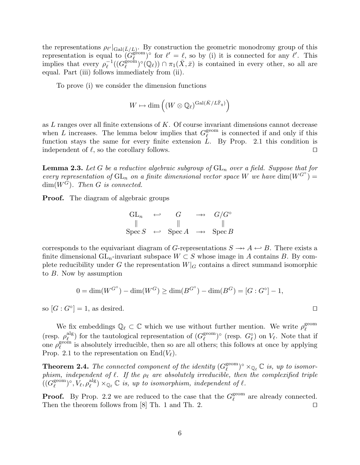the representations  $\rho_{\ell'}|_{Gal(\bar{L}/L)}$ . By construction the geometric monodromy group of this representation is equal to  $(G_{\ell}^{\text{geom}})$  $\ell^{\text{geom}}$  of  $\ell' = \ell$ , so by (i) it is connected for any  $\ell'$ . This implies that every  $\rho_{\ell}^{-1}$  $^{-1}_{\ell}((G_{\ell}^{\mathrm{geom}}% )^{2n})_{\ell}^{\mathrm{G}}(\theta_{\ell}^{\mathrm{G}}% )=O_{\ell}^{\mathrm{G}}(\theta_{\ell}^{\mathrm{G}}% )$  $\mathbb{E}^{\text{econ}}_{\ell}$   $(\mathbb{Q}_{\ell})$   $\cap$   $\pi_1(\bar{X}, \bar{x})$  is contained in every other, so all are equal. Part (iii) follows immediately from (ii).

To prove (i) we consider the dimension functions

$$
W \mapsto \dim \left( (W \otimes \mathbb{Q}_\ell)^{\mathrm{Gal}(\bar{K}/L\bar{\mathbb{F}}_q)} \right)
$$

as  $L$  ranges over all finite extensions of  $K$ . Of course invariant dimensions cannot decrease when L increases. The lemma below implies that  $G_{\ell}^{\text{geom}}$  $\ell^{\text{geom}}$  is connected if and only if this function stays the same for every finite extension  $L$ . By Prop. 2.1 this condition is independent of  $\ell$ , so the corollary follows.

**Lemma 2.3.** Let G be a reductive algebraic subgroup of  $GL_n$  over a field. Suppose that for every representation of  $GL_n$  on a finite dimensional vector space W we have  $\dim(W^{G^{\circ}})$  =  $\dim(W^G)$ . Then G is connected.

**Proof.** The diagram of algebraic groups

$$
\begin{array}{ccc}\nGL_n & \leftarrow & G & \rightarrowtail & G/G^{\circ} \\
\parallel & \parallel & \parallel & \parallel \\
\text{Spec } S & \leftarrow & \text{Spec } A & \rightarrowtail & \text{Spec } B\n\end{array}
$$

corresponds to the equivariant diagram of G-representations  $S \rightarrow A \leftrightarrow B$ . There exists a finite dimensional  $GL_n$ -invariant subspace  $W \subset S$  whose image in A contains B. By complete reducibility under G the representation  $W|_G$  contains a direct summand isomorphic to B. Now by assumption

$$
0 = \dim(W^{G^{\circ}}) - \dim(W^G) \ge \dim(B^{G^{\circ}}) - \dim(B^G) = [G:G^{\circ}] - 1,
$$

so  $[G:G^{\circ}] = 1$ , as desired.

We fix embeddings  $\mathbb{Q}_\ell \subset \mathbb{C}$  which we use without further mention. We write  $\rho_\ell^{\text{geom}}$  $\ell$ (resp.  $\rho_{\ell}^{\mathrm{alg}}$  $\mathcal{L}^{\text{alg}}_{\ell}$ ) for the tautological representation of  $(G_{\ell}^{\text{geom}})$  $\ell^{geom}_{\ell}$  on  $V_{\ell}$ . Note that if one  $\rho_{\ell}^{\text{geom}}$  $\ell^{\text{geom}}$  is absolutely irreducible, then so are all others; this follows at once by applying Prop. 2.1 to the representation on  $\text{End}(V_{\ell}).$ 

**Theorem 2.4.** The connected component of the identity  $(G_{\ell}^{\text{geom}})$  $\int_{\ell}^{\text{geom}}$   $\rangle^{\circ} \times_{\mathbb{Q}_{\ell}} \mathbb{C}$  is, up to isomorphism, independent of  $\ell$ . If the  $\rho_{\ell}$  are absolutely irreducible, then the complexified triple  $\overline{((G_{\ell}^{\text{geom}})$  $(\ell^{\mathrm{geom}})^{\circ}, \bar V_{\ell}, \rho_{\ell}^{\mathrm{alg}}$  $\mathcal{L}_{\ell}^{alg}$ )  $\times_{\mathbb{Q}_{\ell}} \mathbb{C}$  is, up to isomorphism, independent of  $\ell$ .

**Proof.** By Prop. 2.2 we are reduced to the case that the  $G_{\ell}^{\text{geom}}$  $_{\ell}^{\text{geom}}$  are already connected. Then the theorem follows from [8] Th. 1 and Th. 2.  $\Box$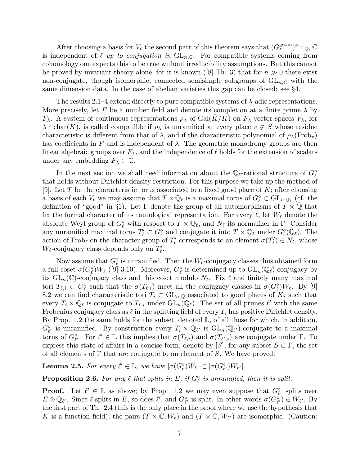After choosing a basis for  $V_{\ell}$  the second part of this theorem says that  $(G_{\ell}^{\text{geom}})$  $_{\ell}^{\text{geom}}$ ) $^{\circ} \times_{\mathbb{Q}_{\ell}} \mathbb{C}$ is independent of  $\ell$  up to conjugation in  $GL_n\mathbb{C}$ . For compatible systems coming from cohomology one expects this to be true without irreducibility assumptions. But this cannot be proved by invariant theory alone, for it is known ([8] Th. 3) that for  $n \gg 0$  there exist non-conjugate, though isomorphic, connected semisimple subgroups of  $GL_{n,\mathbb{C}}$  with the same dimension data. In the case of abelian varieties this gap can be closed: see §4.

The results 2.1–4 extend directly to pure compatible systems of λ-adic representations. More precisely, let F be a number field and denote its completion at a finite prime  $\lambda$  by  $F_{\lambda}$ . A system of continuous representations  $\rho_{\lambda}$  of  $Gal(K/K)$  on  $F_{\lambda}$ -vector spaces  $V_{\lambda}$ , for  $\lambda \nmid \text{char}(K)$ , is called compatible if  $\rho_{\lambda}$  is unramified at every place  $v \notin S$  whose residue characteristic is different from that of  $\lambda$ , and if the characteristic polynomial of  $\rho_{\lambda}(\text{Frob}_{v})$ has coefficients in F and is independent of  $\lambda$ . The geometric monodromy groups are then linear algebraic groups over  $F_{\lambda}$ , and the independence of  $\ell$  holds for the extension of scalars under any embedding  $F_{\lambda} \subset \mathbb{C}$ .

In the next section we shall need information about the  $\mathbb{Q}_\ell$ -rational structure of  $G_\ell^\circ$ that holds without Dirichlet density restriction. For this purpose we take up the method of [9]. Let T be the characteristic torus associated to a fixed good place of  $K$ ; after choosing a basis of each  $V_\ell$  we may assume that  $T \times \mathbb{Q}_\ell$  is a maximal torus of  $G_\ell^\circ \subset \mathrm{GL}_{n,\mathbb{Q}_\ell}$  (cf. the definition of "good" in §1). Let  $\Gamma$  denote the group of all automorphisms of  $T \times \overline{Q}$  that fix the formal character of its tautological representation. For every  $\ell$ , let  $W_{\ell}$  denote the absolute Weyl group of  $G_{\ell}^{\circ}$  with respect to  $T \times \mathbb{Q}_{\ell}$ , and  $N_{\ell}$  its normalizer in  $\Gamma$ . Consider any unramified maximal torus  $T'_\ell \subset G_\ell^\circ$  and conjugate it into  $T \times \mathbb{Q}_\ell$  under  $G_\ell^\circ(\bar{\mathbb{Q}}_\ell)$ . The action of Frob<sub>l</sub> on the character group of  $T'_{\ell}$  corresponds to an element  $\sigma(T'_{\ell}) \in N_{\ell}$ , whose  $W_{\ell}$ -conjugacy class depends only on  $T'_{\ell}$ .

Now assume that  $G_{\ell}^{\circ}$  is unramified. Then the  $W_{\ell}$ -conjugacy classes thus obtained form a full coset  $\sigma(G_\ell^{\circ})W_\ell$  ([9] 3.10). Moreover,  $G_\ell^{\circ}$  is determined up to  $\mathrm{GL}_n(\mathbb{Q}_\ell)$ -conjugacy by its  $GL_n(\mathbb{C})$ -conjugacy class and this coset modulo  $N_\ell$ . Fix  $\ell$  and finitely many maximal tori  $T_{\ell,i} \subset G_{\ell}^{\circ}$  such that the  $\sigma(T_{\ell,i})$  meet all the conjugacy classes in  $\sigma(G_{\ell}^{\circ})W_{\ell}$ . By [9] 8.2 we can find characteristic tori  $T_i \subset GL_{n,\mathbb{Q}}$  associated to good places of K, such that every  $T_i \times \mathbb{Q}_\ell$  is conjugate to  $T_{\ell,i}$  under  $GL_n(\mathbb{Q}_\ell)$ . The set of all primes  $\ell'$  with the same Frobenius conjugacy class as  $\ell$  in the splitting field of every  $T_i$  has positive Dirichlet density. By Prop. 1.2 the same holds for the subset, denoted  $\mathbb{L}$ , of all those for which, in addition,  $G_{\ell'}^{\circ}$  is unramified. By construction every  $T_i \times \mathbb{Q}_{\ell'}$  is  $GL_n(\mathbb{Q}_{\ell'})$ -conjugate to a maximal torus of  $G_{\ell'}^{\circ}$ . For  $\ell' \in \mathbb{L}$  this implies that  $\sigma(T_{\ell,i})$  and  $\sigma(T_{\ell',i})$  are conjugate under  $\Gamma$ . To express this state of affairs in a concise form, denote by [S], for any subset  $S \subset \Gamma$ , the set of all elements of  $\Gamma$  that are conjugate to an element of S. We have proved:

**Lemma 2.5.** For every  $\ell' \in \mathbb{L}$ , we have  $[\sigma(G_{\ell}^{\circ})W_{\ell}] \subset [\sigma(G_{\ell'}^{\circ})W_{\ell'}].$ 

**Proposition 2.6.** For any  $\ell$  that splits in E, if  $G_{\ell}^{\circ}$  is unramified, then it is split.

**Proof.** Let  $\ell' \in \mathbb{L}$  as above; by Prop. 1.2 we may even suppose that  $G_{\ell'}^{\circ}$  splits over  $E \otimes \mathbb{Q}_{\ell'}$ . Since  $\ell$  splits in E, so does  $\ell'$ , and  $G_{\ell'}^{\circ}$  is split. In other words  $\sigma(G_{\ell'}^{\circ}) \in W_{\ell'}$ . By the first part of Th. 2.4 (this is the only place in the proof where we use the hypothesis that K is a function field), the pairs  $(T \times \mathbb{C}, W_{\ell})$  and  $(T \times \mathbb{C}, W_{\ell'})$  are isomorphic. (Caution: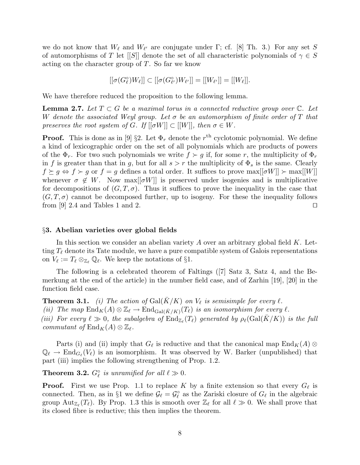we do not know that  $W_{\ell}$  and  $W_{\ell'}$  are conjugate under  $\Gamma$ ; cf. [8] Th. 3.) For any set S of automorphisms of T let [[S]] denote the set of all characteristic polynomials of  $\gamma \in S$ acting on the character group of  $T$ . So far we know

$$
[[\sigma(G_{\ell}^{\circ})W_{\ell}]] \subset [[\sigma(G_{\ell'}^{\circ})W_{\ell'}]] = [[W_{\ell'}]] = [[W_{\ell}]].
$$

We have therefore reduced the proposition to the following lemma.

**Lemma 2.7.** Let  $T \subset G$  be a maximal torus in a connected reductive group over  $\mathbb{C}$ . Let W denote the associated Weyl group. Let  $\sigma$  be an automorphism of finite order of T that preserves the root system of G. If  $[ [\sigma W] ] \subset [[W]]$ , then  $\sigma \in W$ .

**Proof.** This is done as in [9] §2. Let  $\Phi_r$  denote the  $r^{\text{th}}$  cyclotomic polynomial. We define a kind of lexicographic order on the set of all polynomials which are products of powers of the  $\Phi_r$ . For two such polynomials we write  $f \succ g$  if, for some r, the multiplicity of  $\Phi_r$ in f is greater than that in g, but for all  $s > r$  the multiplicity of  $\Phi_s$  is the same. Clearly  $f \succeq g \Leftrightarrow f \succ g$  or  $f = g$  defines a total order. It suffices to prove max $[[\sigma W]] \succ \max[[W]]$ whenever  $\sigma \notin W$ . Now max $[\sigma W]$  is preserved under isogenies and is multiplicative for decompositions of  $(G, T, \sigma)$ . Thus it suffices to prove the inequality in the case that  $(G, T, \sigma)$  cannot be decomposed further, up to isogeny. For these the inequality follows from [9] 2.4 and Tables 1 and 2.  $\Box$ 

#### §3. Abelian varieties over global fields

In this section we consider an abelian variety A over an arbitrary global field K. Letting  $T_\ell$  denote its Tate module, we have a pure compatible system of Galois representations on  $V_{\ell} := T_{\ell} \otimes_{\mathbb{Z}_{\ell}} \mathbb{Q}_{\ell}$ . We keep the notations of §1.

The following is a celebrated theorem of Faltings ([7] Satz 3, Satz 4, and the Bemerkung at the end of the article) in the number field case, and of Zarhin [19], [20] in the function field case.

**Theorem 3.1.** (i) The action of Gal( $\overline{K}/K$ ) on  $V_\ell$  is semisimple for every  $\ell$ . (ii) The map  $\text{End}_K(A) \otimes \mathbb{Z}_\ell \to \text{End}_{\text{Gal}(\bar{K}/K)}(T_\ell)$  is an isomorphism for every  $\ell$ . (iii) For every  $\ell \gg 0$ , the subalgebra of  $\text{End}_{\mathbb{Z}_{\ell}}(T_{\ell})$  generated by  $\rho_{\ell}(\text{Gal}(\bar{K}/K))$  is the full commutant of  $\text{End}_K(A) \otimes \mathbb{Z}_\ell$ .

Parts (i) and (ii) imply that  $G_{\ell}$  is reductive and that the canonical map  $\text{End}_K(A) \otimes$  $\mathbb{Q}_{\ell} \to \text{End}_{G_{\ell}}(V_{\ell})$  is an isomorphism. It was observed by W. Barker (unpublished) that part (iii) implies the following strengthening of Prop. 1.2.

**Theorem 3.2.**  $G_{\ell}^{\circ}$  is unramified for all  $\ell \gg 0$ .

**Proof.** First we use Prop. 1.1 to replace K by a finite extension so that every  $G_\ell$  is connected. Then, as in §1 we define  $\mathcal{G}_{\ell} = \mathcal{G}_{\ell}^{\circ}$  as the Zariski closure of  $G_{\ell}$  in the algebraic group  ${\rm Aut}_{\mathbb{Z}_\ell}(T_\ell)$ . By Prop. 1.3 this is smooth over  $\mathbb{Z}_\ell$  for all  $\ell \gg 0$ . We shall prove that its closed fibre is reductive; this then implies the theorem.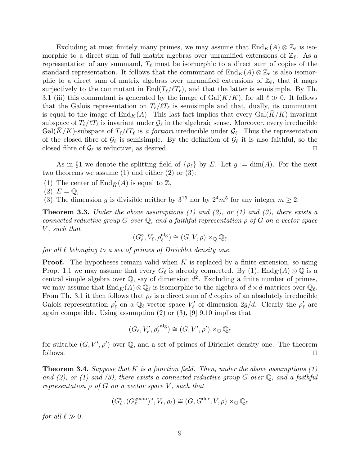Excluding at most finitely many primes, we may assume that  $\text{End}_K(A) \otimes \mathbb{Z}_\ell$  is isomorphic to a direct sum of full matrix algebras over unramified extensions of  $\mathbb{Z}_{\ell}$ . As a representation of any summand,  $T_\ell$  must be isomorphic to a direct sum of copies of the standard representation. It follows that the commutant of  $\text{End}_K(A) \otimes \mathbb{Z}_\ell$  is also isomorphic to a direct sum of matrix algebras over unramified extensions of  $\mathbb{Z}_\ell$ , that it maps surjectively to the commutant in  $\text{End}(T_\ell/\ell T_\ell)$ , and that the latter is semisimple. By Th. 3.1 (iii) this commutant is generated by the image of  $Gal(K/K)$ , for all  $\ell \gg 0$ . It follows that the Galois representation on  $T_{\ell}/\ell T_{\ell}$  is semisimple and that, dually, its commutant is equal to the image of  $\text{End}_K(A)$ . This last fact implies that every  $\text{Gal}(K/K)$ -invariant subspace of  $T_\ell/\ell T_\ell$  is invariant under  $\mathcal{G}_\ell$  in the algebraic sense. Moreover, every irreducible Gal(K/K)-subspace of  $T_{\ell}/\ell T_{\ell}$  is a fortiori irreducible under  $\mathcal{G}_{\ell}$ . Thus the representation of the closed fibre of  $\mathcal{G}_\ell$  is semisimple. By the definition of  $\mathcal{G}_\ell$  it is also faithful, so the closed fibre of  $\mathcal{G}_{\ell}$  is reductive, as desired.  $\Box$ 

As in §1 we denote the splitting field of  $\{\rho_{\ell}\}\$  by E. Let  $g := \dim(A)$ . For the next two theorems we assume  $(1)$  and either  $(2)$  or  $(3)$ :

- (1) The center of  $\text{End}_{\bar{K}}(A)$  is equal to  $\mathbb{Z}$ ,
- $(2)$   $E = \mathbb{Q}$ ,
- (3) The dimension g is divisible neither by  $3^{15}$  nor by  $2^4m^5$  for any integer  $m \ge 2$ .

**Theorem 3.3.** Under the above assumptions  $(1)$  and  $(2)$ , or  $(1)$  and  $(3)$ , there exists a connected reductive group G over  $\mathbb Q$ , and a faithful representation  $\rho$  of G on a vector space V, such that

$$
(G_{\ell}^{\circ}, V_{\ell}, \rho_{\ell}^{\text{alg}}) \cong (G, V, \rho) \times_{\mathbb{Q}} \mathbb{Q}_{\ell}
$$

for all  $\ell$  belonging to a set of primes of Dirichlet density one.

**Proof.** The hypotheses remain valid when  $K$  is replaced by a finite extension, so using Prop. 1.1 we may assume that every  $G_{\ell}$  is already connected. By (1),  $\text{End}_K(A) \otimes \mathbb{Q}$  is a central simple algebra over  $\mathbb{Q}$ , say of dimension  $d^2$ . Excluding a finite number of primes, we may assume that  $\text{End}_K(A)\otimes\mathbb{Q}_\ell$  is isomorphic to the algebra of  $d\times d$  matrices over  $\mathbb{Q}_\ell$ . From Th. 3.1 it then follows that  $\rho_{\ell}$  is a direct sum of d copies of an absolutely irreducible Galois representation  $\rho'_\ell$  on a  $\mathbb{Q}_\ell$ -vector space  $V'_\ell$  of dimension  $2g/d$ . Clearly the  $\rho'_\ell$  are again compatible. Using assumption  $(2)$  or  $(3)$ ,  $[9]$  9.10 implies that

$$
(G_{\ell}, V'_{\ell}, \rho'_{\ell}^{\text{alg}}) \cong (G, V', \rho') \times_{\mathbb{Q}} \mathbb{Q}_{\ell}
$$

for suitable  $(G, V', \rho')$  over Q, and a set of primes of Dirichlet density one. The theorem follows.  $\Box$ 

**Theorem 3.4.** Suppose that K is a function field. Then, under the above assumptions  $(1)$ and (2), or (1) and (3), there exists a connected reductive group  $G$  over  $\mathbb Q$ , and a faithful representation  $\rho$  of G on a vector space V, such that

$$
(G_{\ell}^{\circ}, (G_{\ell}^{\text{geom}})^{\circ}, V_{\ell}, \rho_{\ell}) \cong (G, G^{\text{der}}, V, \rho) \times_{\mathbb{Q}} \mathbb{Q}_{\ell}
$$

for all  $\ell \gg 0$ .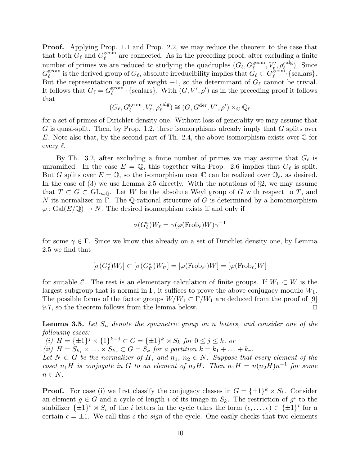**Proof.** Applying Prop. 1.1 and Prop. 2.2, we may reduce the theorem to the case that that both  $G_{\ell}$  and  $G_{\ell}^{\text{geom}}$  $\ell^{\text{geom}}$  are connected. As in the preceding proof, after excluding a finite number of primes we are reduced to studying the quadruples  $(G_\ell, G_\ell^{\text{geom}}, V'_\ell, \rho'_\ell^{\text{alg}})$ . Since  $G_{\ell}^{\text{geom}}$  $\tilde{\ell}_\ell^{\rm geom}$  is the derived group of  $G_\ell$ , absolute irreducibility implies that  $\tilde{G}_\ell \subset G_\ell^{\rm geom}$  $_{\ell}^{\text{geom}}\cdot\{\text{scalars}\}.$ But the representation is pure of weight  $-1$ , so the determinant of  $G_\ell$  cannot be trivial. It follows that  $G_{\ell} = G_{\ell}^{\text{geom}}$  $\ell^{\text{geom}}$  · {scalars}. With  $(G, V', \rho')$  as in the preceding proof it follows that

$$
(G_{\ell}, G_{\ell}^{\text{geom}}, V_{\ell}', \rho_{\ell}'^{\text{ alg}}) \cong (G, G^{\text{der}}, V', \rho') \times_{\mathbb{Q}} \mathbb{Q}_{\ell}
$$

for a set of primes of Dirichlet density one. Without loss of generality we may assume that G is quasi-split. Then, by Prop. 1.2, these isomorphisms already imply that  $G$  splits over E. Note also that, by the second part of Th. 2.4, the above isomorphism exists over  $\mathbb C$  for every  $\ell$ .

By Th. 3.2, after excluding a finite number of primes we may assume that  $G_{\ell}$  is unramified. In the case  $E = \mathbb{Q}$ , this together with Prop. 2.6 implies that  $G_{\ell}$  is split. But G splits over  $E = \mathbb{Q}$ , so the isomorphism over  $\mathbb{C}$  can be realized over  $\mathbb{Q}_\ell$ , as desired. In the case of  $(3)$  we use Lemma 2.5 directly. With the notations of  $\S2$ , we may assume that  $T \subset G \subset GL_{n,\mathbb{Q}}$ . Let W be the absolute Weyl group of G with respect to T, and N its normalizer in  $\Gamma$ . The Q-rational structure of G is determined by a homomorphism  $\varphi: Gal(E/\mathbb{Q}) \to N$ . The desired isomorphism exists if and only if

$$
\sigma(G_\ell^\circ)W_\ell=\gamma(\varphi(\operatorname{Frob}_\ell)W)\gamma^{-1}
$$

for some  $\gamma \in \Gamma$ . Since we know this already on a set of Dirichlet density one, by Lemma 2.5 we find that

$$
[\sigma(G_{\ell}^{\circ})W_{\ell}] \subset [\sigma(G_{\ell'}^{\circ})W_{\ell'}] = [\varphi(\mathrm{Frob}_{\ell'})W] = [\varphi(\mathrm{Frob}_{\ell})W]
$$

for suitable  $\ell'$ . The rest is an elementary calculation of finite groups. If  $W_1 \subset W$  is the largest subgroup that is normal in  $\Gamma$ , it suffices to prove the above conjugacy modulo  $W_1$ . The possible forms of the factor groups  $W/W_1 \subset \Gamma/W_1$  are deduced from the proof of [9] 9.7, so the theorem follows from the lemma below.  $\square$ 

**Lemma 3.5.** Let  $S_n$  denote the symmetric group on n letters, and consider one of the following cases:

(i)  $H = {\pm 1}^j \times {\{1\}}^{k-j} \subset G = {\pm 1}^k \rtimes S_k$  for  $0 \le j \le k$ , or (ii)  $H = S_{k_1} \times \ldots \times S_{k_r} \subset G = S_k$  for a partition  $k = k_1 + \ldots + k_r$ . Let  $N \subset G$  be the normalizer of H, and  $n_1, n_2 \in N$ . Suppose that every element of the coset  $n_1H$  is conjugate in G to an element of  $n_2H$ . Then  $n_1H = n(n_2H)n^{-1}$  for some  $n \in N$ .

**Proof.** For case (i) we first classify the conjugacy classes in  $G = {\pm 1}^k \rtimes S_k$ . Consider an element  $g \in G$  and a cycle of length i of its image in  $S_k$ . The restriction of  $g^i$  to the stabilizer  $\{\pm 1\}^i \rtimes S_i$  of the *i* letters in the cycle takes the form  $(\epsilon, \ldots, \epsilon) \in {\{\pm 1\}}^i$  for a certain  $\epsilon = \pm 1$ . We call this  $\epsilon$  the *sign* of the cycle. One easily checks that two elements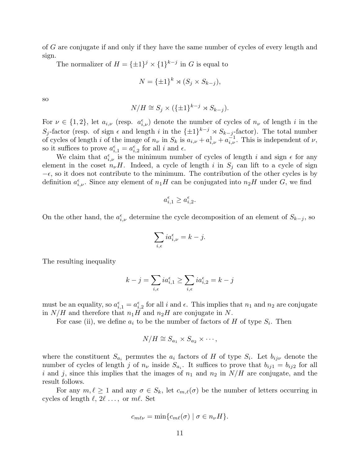of G are conjugate if and only if they have the same number of cycles of every length and sign.

The normalizer of  $H = {\pm 1}^j \times {\pm 1}^{k-j}$  in G is equal to

$$
N = {\pm 1}^k \rtimes (S_j \times S_{k-j}),
$$

so

$$
N/H \cong S_j \times (\{\pm 1\}^{k-j} \rtimes S_{k-j}).
$$

For  $\nu \in \{1,2\}$ , let  $a_{i,\nu}$  (resp.  $a_{i,\nu}^{\epsilon}$ ) denote the number of cycles of  $n_{\nu}$  of length i in the S<sub>j</sub>-factor (resp. of sign  $\epsilon$  and length i in the  $\{\pm 1\}^{k-j} \rtimes S_{k-j}$ -factor). The total number of cycles of length i of the image of  $n_{\nu}$  in  $S_k$  is  $a_{i,\nu} + a_{i,\nu}^1 + a_{i,\nu}^{-1}$ . This is independent of  $\nu$ , so it suffices to prove  $a_{i,1}^{\epsilon} = a_{i,2}^{\epsilon}$  for all i and  $\epsilon$ .

We claim that  $a_{i,\nu}^{\epsilon}$  is the minimum number of cycles of length i and sign  $\epsilon$  for any element in the coset  $n_{\nu}H$ . Indeed, a cycle of length i in  $S_j$  can lift to a cycle of sign  $-\epsilon$ , so it does not contribute to the minimum. The contribution of the other cycles is by definition  $a_{i,\nu}^{\epsilon}$ . Since any element of  $n_1H$  can be conjugated into  $n_2H$  under G, we find

$$
a_{i,1}^{\epsilon} \ge a_{i,2}^{\epsilon}.
$$

On the other hand, the  $a_{i,\nu}^{\epsilon}$  determine the cycle decomposition of an element of  $S_{k-j}$ , so

$$
\sum_{i,\epsilon} ia_{i,\nu}^{\epsilon} = k - j.
$$

The resulting inequality

$$
k - j = \sum_{i,\epsilon} i a_{i,1}^{\epsilon} \ge \sum_{i,\epsilon} i a_{i,2}^{\epsilon} = k - j
$$

must be an equality, so  $a_{i,1}^{\epsilon} = a_{i,2}^{\epsilon}$  for all i and  $\epsilon$ . This implies that  $n_1$  and  $n_2$  are conjugate in  $N/H$  and therefore that  $n_1H$  and  $n_2H$  are conjugate in N.

For case (ii), we define  $a_i$  to be the number of factors of H of type  $S_i$ . Then

$$
N/H \cong S_{a_1} \times S_{a_2} \times \cdots,
$$

where the constituent  $S_{a_i}$  permutes the  $a_i$  factors of H of type  $S_i$ . Let  $b_{ij\nu}$  denote the number of cycles of length j of  $n_{\nu}$  inside  $S_{a_i}$ . It suffices to prove that  $b_{ij1} = b_{ij2}$  for all i and j, since this implies that the images of  $n_1$  and  $n_2$  in  $N/H$  are conjugate, and the result follows.

For any  $m, \ell \geq 1$  and any  $\sigma \in S_k$ , let  $c_{m,\ell}(\sigma)$  be the number of letters occurring in cycles of length  $\ell, 2\ell \ldots$ , or  $m\ell$ . Set

$$
c_{m\ell\nu} = \min\{c_{m\ell}(\sigma) \mid \sigma \in n_{\nu}H\}.
$$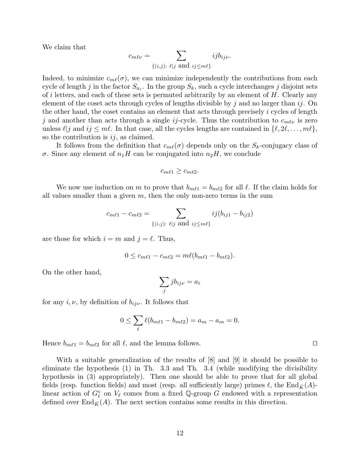We claim that

$$
c_{m\ell\nu} = \sum_{\{(i,j): \ell \mid j \text{ and } ij \leq m\ell\}} i j b_{ij\nu}.
$$

Indeed, to minimize  $c_{m\ell}(\sigma)$ , we can minimize independently the contributions from each cycle of length j in the factor  $S_{a_i}$ . In the group  $S_k$ , such a cycle interchanges j disjoint sets of i letters, and each of these sets is permuted arbitrarily by an element of  $H$ . Clearly any element of the coset acts through cycles of lengths divisible by j and no larger than  $ij$ . On the other hand, the coset contains an element that acts through precisely i cycles of length j and another than acts through a single ij-cycle. Thus the contribution to  $c_{m\ell\nu}$  is zero unless  $\ell | j$  and  $ij \leq m\ell$ . In that case, all the cycles lengths are contained in  $\{\ell, 2\ell, \ldots, m\ell\},$ so the contribution is  $ij$ , as claimed.

It follows from the definition that  $c_{m\ell}(\sigma)$  depends only on the  $S_k$ -conjugacy class of σ. Since any element of  $n_1H$  can be conjugated into  $n_2H$ , we conclude

$$
c_{m\ell 1} \geq c_{m\ell 2}.
$$

We now use induction on m to prove that  $b_{m\ell1} = b_{m\ell2}$  for all  $\ell$ . If the claim holds for all values smaller than a given  $m$ , then the only non-zero terms in the sum

$$
c_{m\ell 1} - c_{m\ell 2} = \sum_{\{(i,j): \ell \mid j \text{ and } ij \leq m\ell\}} ij(b_{ij1} - b_{ij2})
$$

are those for which  $i = m$  and  $j = \ell$ . Thus,

$$
0 \leq c_{m\ell 1} - c_{m\ell 2} = m\ell(b_{m\ell 1} - b_{m\ell 2}).
$$

On the other hand,

$$
\sum_j jb_{ij\nu} = a_i
$$

for any  $i, \nu$ , by definition of  $b_{ij\nu}$ . It follows that

$$
0 \le \sum_{\ell} \ell(b_{m\ell 1} - b_{m\ell 2}) = a_m - a_m = 0.
$$

Hence  $b_{m\ell 1} = b_{m\ell 2}$  for all  $\ell$ , and the lemma follows.

With a suitable generalization of the results of [8] and [9] it should be possible to eliminate the hypothesis (1) in Th. 3.3 and Th. 3.4 (while modifying the divisibility hypothesis in (3) appropriately). Then one should be able to prove that for all global fields (resp. function fields) and most (resp. all sufficiently large) primes  $\ell$ , the End $\bar{K}(A)$ linear action of  $G_{\ell}^{\circ}$  on  $V_{\ell}$  comes from a fixed Q-group G endowed with a representation defined over  $\text{End}_{\bar{K}}(A)$ . The next section contains some results in this direction.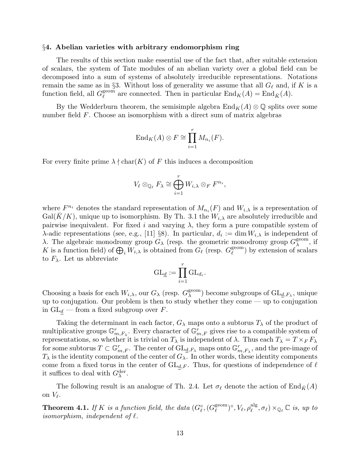#### §4. Abelian varieties with arbitrary endomorphism ring

The results of this section make essential use of the fact that, after suitable extension of scalars, the system of Tate modules of an abelian variety over a global field can be decomposed into a sum of systems of absolutely irreducible representations. Notations remain the same as in §3. Without loss of generality we assume that all  $G_\ell$  and, if K is a function field, all  $G_{\ell}^{\text{geom}}$  $\ell^{\text{geom}}$  are connected. Then in particular  $\text{End}_K(A) = \text{End}_{\bar{K}}(A)$ .

By the Wedderburn theorem, the semisimple algebra  $\text{End}_K(A) \otimes \mathbb{Q}$  splits over some number field F. Choose an isomorphism with a direct sum of matrix algebras

$$
\text{End}_K(A) \otimes F \cong \prod_{i=1}^r M_{n_i}(F).
$$

For every finite prime  $\lambda \nmid \text{char}(K)$  of F this induces a decomposition

$$
V_{\ell} \otimes_{\mathbb{Q}_{\ell}} F_{\lambda} \cong \bigoplus_{i=1}^r W_{i,\lambda} \otimes_F F^{n_i},
$$

where  $F^{n_i}$  denotes the standard representation of  $M_{n_i}(F)$  and  $W_{i,\lambda}$  is a representation of  $Gal(\overline{K}/K)$ , unique up to isomorphism. By Th. 3.1 the  $W_{i,\lambda}$  are absolutely irreducible and pairwise inequivalent. For fixed i and varying  $\lambda$ , they form a pure compatible system of  $\lambda$ -adic representations (see, e.g., [11] §8). In particular,  $d_i := \dim W_{i,\lambda}$  is independent of λ. The algebraic monodromy group  $G_{\lambda}$  (resp. the geometric monodromy group  $G_{\lambda}^{\text{geom}}$  $_{\lambda}^{\text{geom}}$ , if K is a function field) of  $\bigoplus_i W_{i,\lambda}$  is obtained from  $G_\ell$  (resp.  $G_\ell^{\text{geom}}$  $\ell^{\text{geom}}$ ) by extension of scalars to  $F_{\lambda}$ . Let us abbreviate

$$
\mathrm{GL}_{\underline{d}}:=\prod_{i=1}^r\mathrm{GL}_{d_i}.
$$

Choosing a basis for each  $W_{i,\lambda}$ , our  $G_{\lambda}$  (resp.  $G_{\lambda}^{\text{geom}}$  $_{\lambda}^{\text{geom}})$  become subgroups of  $\mathrm{GL}_{\underline{d},F_{\lambda}},$  unique up to conjugation. Our problem is then to study whether they come — up to conjugation in  $GL_d$  — from a fixed subgroup over F.

Taking the determinant in each factor,  $G_\lambda$  maps onto a subtorus  $T_\lambda$  of the product of multiplicative groups  $\mathbb{G}_{m,F_{\lambda}}^r$ . Every character of  $\mathbb{G}_{m,F}^r$  gives rise to a compatible system of representations, so whether it is trivial on  $T_{\lambda}$  is independent of  $\lambda$ . Thus each  $T_{\lambda} = T \times_F F_{\lambda}$ for some subtorus  $T \subset \mathbb{G}_{m,F}^r$ . The center of  $\mathrm{GL}_{d,F_\lambda}$  maps onto  $\mathbb{G}_{m,F_\lambda}^r$ , and the pre-image of  $T_{\lambda}$  is the identity component of the center of  $G_{\lambda}$ . In other words, these identity components come from a fixed torus in the center of  $GL_{d,F}$ . Thus, for questions of independence of  $\ell$ it suffices to deal with  $G_{\lambda}^{\text{der}}$ .

The following result is an analogue of Th. 2.4. Let  $\sigma_{\ell}$  denote the action of End $\bar{K}(A)$ on  $V_{\ell}$ .

**Theorem 4.1.** If K is a function field, the data  $(G_{\ell}^{\circ}, (G_{\ell}^{\text{geom}}))$  $(\ell^{\text{geom}})^{\circ}, V_{\ell}, \rho_{\ell}^{\text{alg}}$  $_{\ell}^{\operatorname{alg}}, \sigma_{\ell} \times_{\mathbb{Q}_{\ell}} \mathbb{C}$  is, up to isomorphism, independent of  $\ell$ .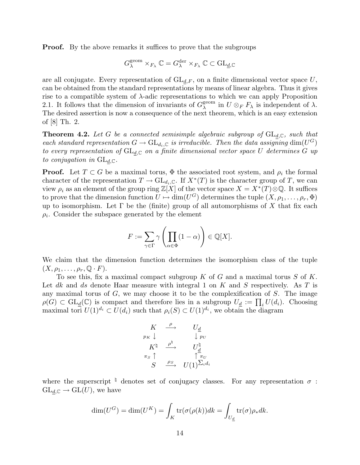**Proof.** By the above remarks it suffices to prove that the subgroups

$$
G^{\text{geom}}_\lambda \times_{F_\lambda} \mathbb{C} = G^{\text{der}}_\lambda \times_{F_\lambda} \mathbb{C} \subset \text{GL}_{\underline{d},\mathbb{C}}
$$

are all conjugate. Every representation of  $GL_{d,F}$ , on a finite dimensional vector space U, can be obtained from the standard representations by means of linear algebra. Thus it gives rise to a compatible system of  $\lambda$ -adic representations to which we can apply Proposition 2.1. It follows that the dimension of invariants of  $G_{\lambda}^{\text{geom}}$  $\lambda^{\text{geom}}$  in  $U \otimes_F F_{\lambda}$  is independent of  $\lambda$ . The desired assertion is now a consequence of the next theorem, which is an easy extension of [8] Th. 2.

**Theorem 4.2.** Let G be a connected semisimple algebraic subgroup of  $GL_{d,\mathbb{C}}$ , such that each standard representation  $G \to GL_{d_i, \mathbb{C}}$  is irreducible. Then the data assigning  $\dim(U^G)$ to every representation of  $GL_{d,\mathbb{C}}$  on a finite dimensional vector space U determines G up to conjugation in  $GL_{d,\mathbb{C}}$ .

**Proof.** Let  $T \subset G$  be a maximal torus,  $\Phi$  the associated root system, and  $\rho_i$  the formal character of the representation  $T \to \mathrm{GL}_{d_i}, \mathbb{C}$ . If  $X^*(T)$  is the character group of T, we can view  $\rho_i$  as an element of the group ring  $\mathbb{Z}[X]$  of the vector space  $X = X^*(T) \otimes \mathbb{Q}$ . It suffices to prove that the dimension function  $U \mapsto \dim(U^G)$  determines the tuple  $(X, \rho_1, \ldots, \rho_r, \Phi)$ up to isomorphism. Let  $\Gamma$  be the (finite) group of all automorphisms of X that fix each  $\rho_i$ . Consider the subspace generated by the element

$$
F := \sum_{\gamma \in \Gamma} \gamma \left( \prod_{\alpha \in \Phi} (1 - \alpha) \right) \in \mathbb{Q}[X].
$$

We claim that the dimension function determines the isomorphism class of the tuple  $(X, \rho_1, \ldots, \rho_r, \mathbb{Q} \cdot F).$ 

To see this, fix a maximal compact subgroup  $K$  of  $G$  and a maximal torus  $S$  of  $K$ . Let dk and ds denote Haar measure with integral 1 on K and S respectively. As T is any maximal torus of  $G$ , we may choose it to be the complexification of  $S$ . The image  $\rho(G) \subset GL_d(\mathbb{C})$  is compact and therefore lies in a subgroup  $U_d := \prod_i U(d_i)$ . Choosing maximal tori  $U(1)^{d_i} \subset U(d_i)$  such that  $\rho_i(S) \subset U(1)^{d_i}$ , we obtain the diagram

$$
\begin{array}{ccc}\nK & \stackrel{\rho}{\longrightarrow} & U_{\underline{d}} \\
p_K \downarrow & & \downarrow_{\mathit{PU}} \\
K^{\natural} & \stackrel{\rho^{\natural}}{\longrightarrow} & U_{\underline{d}}^{\natural} \\
\pi_S \uparrow & & \uparrow_{\pi_U} \\
S & \stackrel{\rho_S}{\longrightarrow} & U(1)^{\sum_i d_i}\n\end{array}
$$

where the superscript  $\frac{d}{dx}$  denotes set of conjugacy classes. For any representation  $\sigma$ :  $GL_{d,\mathbb{C}} \to GL(U)$ , we have

$$
\dim(U^G) = \dim(U^K) = \int_K \text{tr}(\sigma(\rho(k))dk) = \int_{U_{\underline{d}}} \text{tr}(\sigma)\rho_* dk.
$$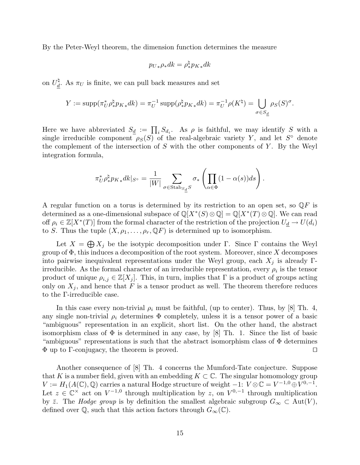By the Peter-Weyl theorem, the dimension function determines the measure

$$
{p_U}_* \rho_* dk = \rho^\natural_* {p_K}_* dk
$$

on  $U_d^{\natural}$ <sup>4</sup>. As  $\pi_U$  is finite, we can pull back measures and set

$$
Y := \text{supp}(\pi_U^* \rho_*^{\natural} p_{K*} dk) = \pi_U^{-1} \text{supp}(\rho_*^{\natural} p_{K*} dk) = \pi_U^{-1} \rho(K^{\natural}) = \bigcup_{\sigma \in S_d} \rho_S(S)^{\sigma}.
$$

Here we have abbreviated  $S_{\underline{d}} := \prod_i S_{d_i}$ . As  $\rho$  is faithful, we may identify S with a single irreducible component  $\rho_S(S)$  of the real-algebraic variety Y, and let  $S^{\circ}$  denote the complement of the intersection of  $S$  with the other components of  $Y$ . By the Weyl integration formula,

$$
\pi_U^* \rho_*^\natural p_{K*} dk|_{S^\circ} = \frac{1}{|W|} \sum_{\sigma \in \text{Stab}_{S_d} S} \sigma_* \left( \prod_{\alpha \in \Phi} (1 - \alpha(s)) ds \right).
$$

A regular function on a torus is determined by its restriction to an open set, so  $\mathbb{Q}F$  is determined as a one-dimensional subspace of  $\mathbb{Q}[X^*(S) \otimes \mathbb{Q}] = \mathbb{Q}[X^*(T) \otimes \mathbb{Q}]$ . We can read off  $\rho_i \in \mathbb{Z}[X^*(T)]$  from the formal character of the restriction of the projection  $U_d \to U(d_i)$ to S. Thus the tuple  $(X, \rho_1, \ldots, \rho_r, \mathbb{Q}F)$  is determined up to isomorphism.

Let  $X = \bigoplus X_j$  be the isotypic decomposition under Γ. Since Γ contains the Weyl group of  $\Phi$ , this induces a decomposition of the root system. Moreover, since X decomposes into pairwise inequivalent representations under the Weyl group, each  $X_i$  is already Γirreducible. As the formal character of an irreducible representation, every  $\rho_i$  is the tensor product of unique  $\rho_{i,j} \in \mathbb{Z}[X_j]$ . This, in turn, implies that  $\Gamma$  is a product of groups acting only on  $X_j$ , and hence that F is a tensor product as well. The theorem therefore reduces to the Γ-irreducible case.

In this case every non-trivial  $\rho_i$  must be faithful, (up to center). Thus, by [8] Th. 4, any single non-trivial  $\rho_i$  determines  $\Phi$  completely, unless it is a tensor power of a basic "ambiguous" representation in an explicit, short list. On the other hand, the abstract isomorphism class of  $\Phi$  is determined in any case, by [8] Th. 1. Since the list of basic "ambiguous" representations is such that the abstract isomorphism class of  $\Phi$  determines  $\Phi$  up to Γ-conjugacy, the theorem is proved.  $\square$ 

Another consequence of [8] Th. 4 concerns the Mumford-Tate conjecture. Suppose that K is a number field, given with an embedding  $K \subset \mathbb{C}$ . The singular homomology group  $V := H_1(A(\mathbb{C}), \mathbb{Q})$  carries a natural Hodge structure of weight  $-1: V \otimes \mathbb{C} = V^{-1,0} \oplus V^{0,-1}$ . Let  $z \in \mathbb{C}^\times$  act on  $V^{-1,0}$  through multiplication by z, on  $V^{0,-1}$  through multiplication by  $\bar{z}$ . The *Hodge group* is by definition the smallest algebraic subgroup  $G_{\infty} \subset \text{Aut}(V)$ , defined over  $\mathbb{Q}$ , such that this action factors through  $G_{\infty}(\mathbb{C})$ .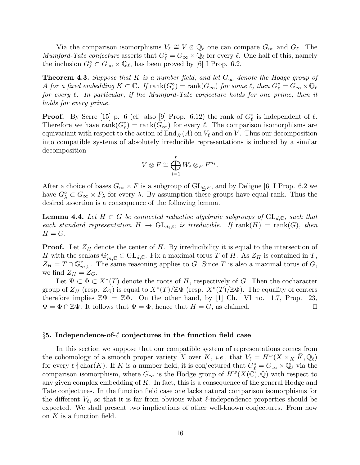Via the comparison isomorphisms  $V_{\ell} \cong V \otimes \mathbb{Q}_{\ell}$  one can compare  $G_{\infty}$  and  $G_{\ell}$ . The Mumford-Tate conjecture asserts that  $G_{\ell}^{\circ} = G_{\infty} \times \mathbb{Q}_{\ell}$  for every  $\ell$ . One half of this, namely the inclusion  $G_{\ell}^{\circ} \subset G_{\infty} \times \mathbb{Q}_{\ell}$ , has been proved by [6] I Prop. 6.2.

**Theorem 4.3.** Suppose that K is a number field, and let  $G_{\infty}$  denote the Hodge group of A for a fixed embedding  $K\subset\mathbb{C}$ . If  $\mathrm{rank}(G_{\ell}^\circ)=\mathrm{rank}(G_\infty)$  for some  $\ell,$  then  $G_{\ell}^\circ=G_\infty\times\mathbb{Q}_{\ell}$ for every  $\ell$ . In particular, if the Mumford-Tate conjecture holds for one prime, then it holds for every prime.

**Proof.** By Serre [15] p. 6 (cf. also [9] Prop. 6.12) the rank of  $G_{\ell}^{\circ}$  is independent of  $\ell$ . Therefore we have  $rank(G_{\ell}^{\circ}) = rank(G_{\infty})$  for every  $\ell$ . The comparison isomorphisms are equivariant with respect to the action of  $\text{End}_{\bar{K}}(A)$  on  $V_{\ell}$  and on V. Thus our decomposition into compatible systems of absolutely irreducible representations is induced by a similar decomposition

$$
V \otimes F \cong \bigoplus_{i=1}^r W_i \otimes_F F^{n_i}.
$$

After a choice of bases  $G_{\infty} \times F$  is a subgroup of  $GL_{d,F}$ , and by Deligne [6] I Prop. 6.2 we have  $G^{\circ}_{\lambda} \subset G_{\infty} \times F_{\lambda}$  for every  $\lambda$ . By assumption these groups have equal rank. Thus the desired assertion is a consequence of the following lemma.

**Lemma 4.4.** Let  $H \subset G$  be connected reductive algebraic subgroups of  $GL_{d,C}$ , such that each standard representation  $H \to GL_{d_i,\mathbb{C}}$  is irreducible. If  $rank(H) = rank(G)$ , then  $H = G$ .

**Proof.** Let  $Z_H$  denote the center of H. By irreducibility it is equal to the intersection of H with the scalars  $\mathbb{G}_{m,\mathbb{C}}^r \subset \mathrm{GL}_{d,\mathbb{C}}$ . Fix a maximal torus T of H. As  $Z_H$  is contained in T,  $Z_H = T \cap \mathbb{G}_{m,\mathbb{C}}^r$ . The same reasoning applies to G. Since T is also a maximal torus of G, we find  $Z_H = Z_G$ .

Let  $\Psi \subset \Phi \subset X^*(T)$  denote the roots of H, respectively of G. Then the cocharacter group of  $Z_H$  (resp.  $Z_G$ ) is equal to  $X^*(T)/\mathbb{Z}\Psi$  (resp.  $X^*(T)/\mathbb{Z}\Phi$ ). The equality of centers therefore implies  $\mathbb{Z}\Psi = \mathbb{Z}\Phi$ . On the other hand, by [1] Ch. VI no. 1.7, Prop. 23,  $\Psi = \Phi \cap \mathbb{Z}\Psi$ . It follows that  $\Psi = \Phi$ , hence that  $H = G$ , as claimed.

#### $§5.$  Independence-of- $\ell$  conjectures in the function field case

In this section we suppose that our compatible system of representations comes from the cohomology of a smooth proper variety X over K, *i.e.*, that  $V_\ell = H^w(X \times_K K, \mathbb{Q}_\ell)$ for every  $\ell \nmid \text{char}(K)$ . If K is a number field, it is conjectured that  $G_{\ell}^{\circ} = G_{\infty} \times \mathbb{Q}_{\ell}$  via the comparison isomorphism, where  $G_{\infty}$  is the Hodge group of  $H^w(X(\mathbb{C}), \mathbb{Q})$  with respect to any given complex embedding of K. In fact, this is a consequence of the general Hodge and Tate conjectures. In the function field case one lacks natural comparison isomorphisms for the different  $V_{\ell}$ , so that it is far from obvious what  $\ell$ -independence properties should be expected. We shall present two implications of other well-known conjectures. From now on  $K$  is a function field.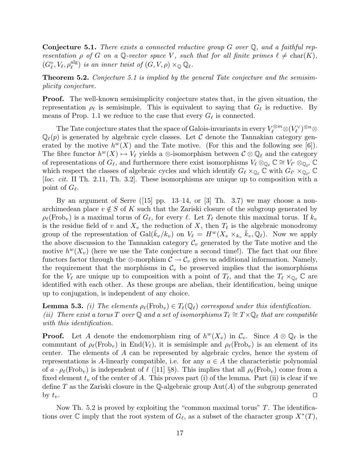**Conjecture 5.1.** There exists a connected reductive group G over  $\mathbb{Q}$ , and a faithful representation  $\rho$  of G on a Q-vector space V, such that for all finite primes  $\ell \neq \text{char}(K)$ ,  $(G_{\ell}^{\circ}, V_{\ell}, \rho_{\ell}^{\operatorname{alg}})$  $_{\ell}^{\text{alg}}$ ) is an inner twist of  $(G, V, \rho) \times_{\mathbb{Q}} \mathbb{Q}_{\ell}$ .

Theorem 5.2. Conjecture 5.1 is implied by the general Tate conjecture and the semisimplicity conjecture.

**Proof.** The well-known semisimplicity conjecture states that, in the given situation, the representation  $\rho_{\ell}$  is semisimple. This is equivalent to saying that  $G_{\ell}$  is reductive. By means of Prop. 1.1 we reduce to the case that every  $G_{\ell}$  is connected.

The Tate conjecture states that the space of Galois-invariants in every  $V_\ell^{\otimes m}\otimes (V_\ell^\vee)^{\otimes n}\otimes$  $\mathbb{Q}_{\ell}(p)$  is generated by algebraic cycle classes. Let C denote the Tannakian category generated by the motive  $h^{w}(X)$  and the Tate motive. (For this and the following see [6]). The fibre functor  $h^w(X) \mapsto V_\ell$  yields a ⊗-isomorphism between  $\mathcal{C} \otimes \mathbb{Q}_\ell$  and the category of representations of  $G_{\ell}$ , and furthermore there exist isomorphisms  $V_{\ell} \otimes_{\mathbb{Q}_{\ell}} \mathbb{C} \cong V_{\ell'} \otimes_{\mathbb{Q}_{\ell'}} \mathbb{C}$ which respect the classes of algebraic cycles and which identify  $G_{\ell} \times_{\mathbb{Q}_{\ell}} C$  with  $G_{\ell'} \times_{\mathbb{Q}_{\ell'}} C$  $[loc. cit. II Th. 2.11, Th. 3.2].$  These isomorphisms are unique up to composition with a point of  $G_\ell$ .

By an argument of Serre  $(15)$  pp. 13–14, or  $[3]$  Th. 3.7) we may choose a nonarchimedean place  $v \notin S$  of K such that the Zariski closure of the subgroup generated by  $\rho_\ell(\text{Frob}_v)$  is a maximal torus of  $G_\ell$ , for every  $\ell$ . Let  $T_\ell$  denote this maximal torus. If  $k_v$ is the residue field of v and  $X_v$  the reduction of X, then  $T_\ell$  is the algebraic monodromy group of the representation of  $Gal(\bar{k}_{v}/k_{v})$  on  $V_{\ell} = H^{w}(X_{v} \times_{k_{v}} \bar{k}_{v}, \mathbb{Q}_{\ell}).$  Now we apply the above discussion to the Tannakian category  $\mathcal{C}_v$  generated by the Tate motive and the motive  $h^{w}(X_v)$  (here we use the Tate conjecture a second time!). The fact that our fibre functors factor through the ⊗-morphism  $C \to C_v$  gives us additional information. Namely, the requirement that the morphisms in  $\mathcal{C}_v$  be preserved implies that the isomorphisms for the  $V_\ell$  are unique up to composition with a point of  $T_\ell$ , and that the  $T_\ell \times_{\mathbb{Q}_\ell} \mathbb{C}$  are identified with each other. As these groups are abelian, their identification, being unique up to conjugation, is independent of any choice.

**Lemma 5.3.** (i) The elements  $\rho_{\ell}(\text{Frob}_{v}) \in T_{\ell}(\mathbb{Q}_{\ell})$  correspond under this identification. (ii) There exist a torus T over Q and a set of isomorphisms  $T_\ell \cong T \times \mathbb{Q}_\ell$  that are compatible with this identification.

**Proof.** Let A denote the endomorphism ring of  $h^{w}(X_v)$  in  $\mathcal{C}_v$ . Since  $A \otimes \mathbb{Q}_\ell$  is the commutant of  $\rho_\ell(\text{Frob}_v)$  in End(V<sub> $\ell$ </sub>), it is semisimple and  $\rho_\ell(\text{Frob}_v)$  is an element of its center. The elements of A can be represented by algebraic cycles, hence the system of representations is A-linearly compatible, i.e. for any  $a \in A$  the characteristic polynomial of  $a \cdot \rho_\ell(\text{Frob}_v)$  is independent of  $\ell$  ([11] §8). This implies that all  $\rho_\ell(\text{Frob}_v)$  come from a fixed element  $t_v$  of the center of A. This proves part (i) of the lemma. Part (ii) is clear if we define T as the Zariski closure in the Q-algebraic group  $Aut(A)$  of the subgroup generated by  $t_v$ .

Now Th. 5.2 is proved by exploiting the "common maximal torus"  $T$ . The identifications over  $\mathbb C$  imply that the root system of  $G_{\ell}$ , as a subset of the character group  $X^*(T)$ ,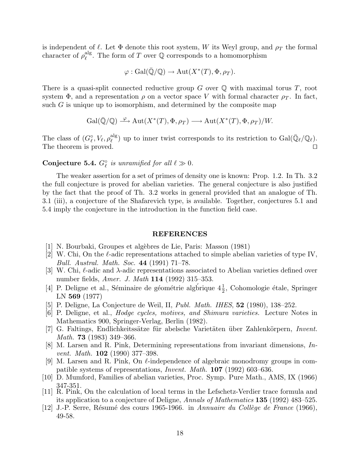is independent of  $\ell$ . Let  $\Phi$  denote this root system, W its Weyl group, and  $\rho_T$  the formal character of  $\rho_{\ell}^{\operatorname{alg}}$ <sup>alg</sup>. The form of T over  $\mathbb Q$  corresponds to a homomorphism

$$
\varphi: \mathrm{Gal}(\overline{\mathbb{Q}}/\mathbb{Q}) \to \mathrm{Aut}(X^*(T), \Phi, \rho_T).
$$

There is a quasi-split connected reductive group  $G$  over  $\mathbb Q$  with maximal torus  $T$ , root system  $\Phi$ , and a representation  $\rho$  on a vector space V with formal character  $\rho_T$ . In fact, such  $G$  is unique up to isomorphism, and determined by the composite map

$$
\mathrm{Gal}(\bar{\mathbb{Q}}/\mathbb{Q}) \xrightarrow{\varphi} \mathrm{Aut}(X^*(T), \Phi, \rho_T) \longrightarrow \mathrm{Aut}(X^*(T), \Phi, \rho_T)/W.
$$

The class of  $(G_{\ell}^{\circ}, V_{\ell}, \rho_{\ell}^{\text{alg}})$  $\mathcal{L}^{alg}_{\ell}$ ) up to inner twist corresponds to its restriction to  $Gal(\bar{\mathbb{Q}}_{\ell}/\mathbb{Q}_{\ell}).$ The theorem is proved.  $\Box$ 

# Conjecture 5.4.  $G_{\ell}^{\circ}$  is unramified for all  $\ell \gg 0$ .

The weaker assertion for a set of primes of density one is known: Prop. 1.2. In Th. 3.2 the full conjecture is proved for abelian varieties. The general conjecture is also justified by the fact that the proof of Th. 3.2 works in general provided that an analogue of Th. 3.1 (iii), a conjecture of the Shafarevich type, is available. Together, conjectures 5.1 and 5.4 imply the conjecture in the introduction in the function field case.

#### REFERENCES

- [1] N. Bourbaki, Groupes et algèbres de Lie, Paris: Masson (1981)
- [2] W. Chi, On the  $\ell$ -adic representations attached to simple abelian varieties of type IV, Bull. Austral. Math. Soc. 44 (1991) 71–78.
- [3] W. Chi,  $\ell$ -adic and  $\lambda$ -adic representations associated to Abelian varieties defined over number fields, *Amer. J. Math* **114** (1992) 315–353.
- [4] P. Deligne et al., Séminaire de géométrie algbrique  $4\frac{1}{2}$ , Cohomologie étale, Springer LN 569 (1977)
- [5] P. Deligne, La Conjecture de Weil, II, Publ. Math. IHES, 52 (1980), 138–252.
- [6] P. Deligne, et al., Hodge cycles, motives, and Shimura varieties. Lecture Notes in Mathematics 900, Springer-Verlag, Berlin (1982).
- [7] G. Faltings, Endlichkeitssätze für abelsche Varietäten über Zahlenkörpern, Invent. Math. 73 (1983) 349–366.
- [8] M. Larsen and R. Pink, Determining representations from invariant dimensions, Invent. Math. 102 (1990) 377–398.
- [9] M. Larsen and R. Pink, On  $\ell$ -independence of algebraic monodromy groups in compatible systems of representations, Invent. Math. 107 (1992) 603–636.
- [10] D. Mumford, Families of abelian varieties, Proc. Symp. Pure Math., AMS, IX (1966) 347-351.
- [11] R. Pink, On the calculation of local terms in the Lefschetz-Verdier trace formula and its application to a conjecture of Deligne, Annals of Mathematics 135 (1992) 483–525.
- [12] J.-P. Serre, Résumé des cours 1965-1966. in Annuaire du Collège de France (1966), 49-58.